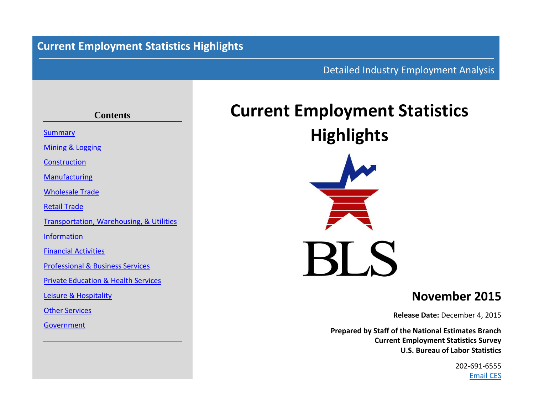## **Current Employment Statistics Highlights**

### Detailed Industry Employment Analysis

## **Contents** [Summary](#page-2-0) [Mining](#page-3-0) & [Logging](#page-3-0) **[Construction](#page-4-0)** [Manufacturing](#page-5-0) [Wholesale](#page-6-0) Trade [Retail](#page-7-0) Trade [Transportation, Warehousing,](#page-8-0) & [Utilities](#page-9-0) [Information](#page-10-0) [Financial](#page-11-0) [Activities](#page-11-0) [Professional](#page-12-0) & [Business](#page-12-0) Services [Private](#page-13-0) [Education](#page-13-0) & [Health](#page-13-0) Services [Leisure](#page-14-0) & [Hospitality](#page-14-0) [Other](#page-15-0) Services [Government](#page-16-0)

# **Current Employment Statistics Highlights**



## **November 2015**

**Release Date:** December 4, 2015

**Prepared by Staff of the National Estimates Branch Current Employment Statistics Survey U.S. Bureau of Labor Statistics**

> 202-691-6555 [Email CES](http://data.bls.gov/cgi-bin/forms/ces?/ces/home.htm)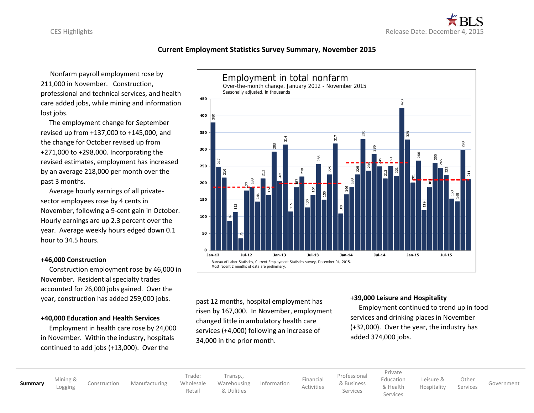#### **Current Employment Statistics Survey Summary, November 2015**

 Nonfarm payroll employment rose by 211,000 in November. Construction, professional and technical services, and health care added jobs, while mining and information lost jobs.

 The employment change for September revised up from +137,000 to +145,000, and the change for October revised up from +271,000 to +298,000. Incorporating the revised estimates, employment has increased by an average 218,000 per month over the past 3 months.

 Average hourly earnings of all privatesector employees rose by 4 cents in November, following a 9-cent gain in October. Hourly earnings are up 2.3 percent over the year. Average weekly hours edged down 0.1 hour to 34.5 hours.

#### **+46,000 Construction**

 Construction employment rose by 46,000 in November. Residential specialty trades accounted for 26,000 jobs gained. Over the year, construction has added 259,000 jobs.

#### **+40,000 Education and Health Services**

 Employment in health care rose by 24,000 in November. Within the industry, hospitals



past 12 months, hospital employment has risen by 167,000. In November, employment changed little in ambulatory health care services (+4,000) following an increase of 34,000 in the prior month.

#### **+39,000 Leisure and Hospitality**

 Employment continued to trend up in food services and drinking places in November (+32,000). Over the year, the industry has added 374,000 jobs.

**[Summary](#page-2-0)** [Mining](#page-3-0) &

[Construction](#page-4-0) [Manufacturing](#page-5-0)

Trade: [Wholesale](#page-6-0) [Retail](#page-7-0) [Transp.,](#page-8-0) [Warehousing](#page-8-0) [& Utilities](#page-9-0)

[Information](#page-10-0) [Financial](#page-11-0)

[Professional](#page-12-0) [& Business](#page-12-0) Services

[Activities](#page-11-0)

[Private](#page-13-0) [Education](#page-13-0)

> [& Health](#page-13-0) Services

[Leisure](#page-14-0) & [Hospitality](#page-14-0)

[Other](#page-15-0)

Services [Government](#page-16-0)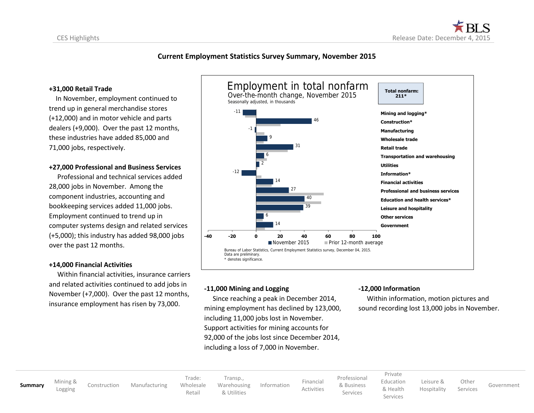

#### <span id="page-2-0"></span>**Current Employment Statistics Survey Summary, November 2015**

#### **+31,000 Retail Trade**

 In November, employment continued to trend up in general merchandise stores (+12,000) and in motor vehicle and parts dealers (+9,000). Over the past 12 months, these industries have added 85,000 and 71,000 jobs, respectively.

#### **+27,000 Professional and Business Services**

 Professional and technical services added 28,000 jobs in November. Among the component industries, accounting and bookkeeping services added 11,000 jobs. Employment continued to trend up in computer systems design and related services (+5,000); this industry has added 98,000 jobs over the past 12 months.

#### **+14,000 Financial Activities**

Within financial activities, insurance carriers and related activities continued to add jobs in November (+7,000). Over the past 12 months, insurance employment has risen by 73,000.



#### **-11,000 Mining and Logging**

 Since reaching a peak in December 2014, mining employment has declined by 123,000, including 11,000 jobs lost in November. Support activities for mining accounts for 92,000 of the jobs lost since December 2014, including a loss of 7,000 in November.

#### **-12,000 Information**

 Within information, motion pictures and sound recording lost 13,000 jobs in November.

**[Summary](#page-2-0)** [Mining](#page-3-0) &

[Construction](#page-4-0) [Manufacturing](#page-5-0)

Trade: [Wholesale](#page-6-0) [Transp.,](#page-8-0) [Warehousing](#page-8-0) [& Utilities](#page-9-0)

[Retail](#page-7-0)

[Information](#page-10-0) [Financial](#page-11-0)

[Activities](#page-11-0)

[Professional](#page-12-0) [& Business](#page-12-0) Services

[Private](#page-13-0) [Education](#page-13-0) [& Health](#page-13-0)

Services

[Leisure](#page-14-0) & [Hospitality](#page-14-0) **[Other](#page-15-0)** 

Services [Government](#page-16-0)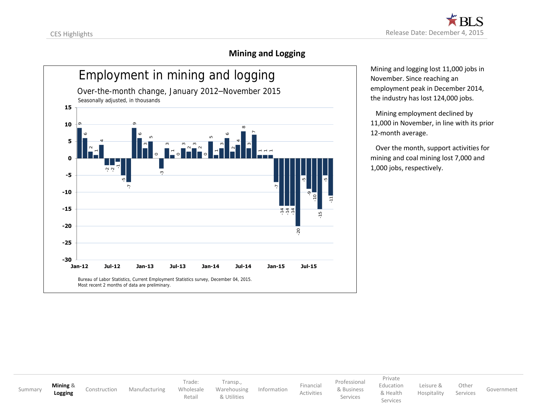## **Mining and Logging**

<span id="page-3-0"></span>

Mining and logging lost 11,000 jobs in November. Since reaching an employment peak in December 2014, the industry has lost 124,000 jobs.

 Mining employment declined by 11,000 in November, in line with its prior 12-month average.

 Over the month, support activities for mining and coal mining lost 7,000 and 1,000 jobs, respectively.

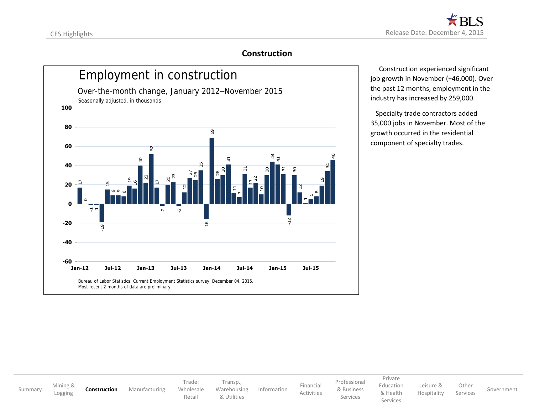### **Construction**

<span id="page-4-0"></span>

 Construction experienced significant job growth in November (+46,000). Over the past 12 months, employment in the industry has increased by 259,000.

 Specialty trade contractors added 35,000 jobs in November. Most of the growth occurred in the residential component of specialty trades.

[Summary](#page-2-0) [Mining](#page-3-0) & **[Construction](#page-4-0)** [Manufacturing](#page-5-0) Trade: [Wholesale](#page-6-0) [Retail](#page-7-0) [Transp.](#page-8-0), [Warehousing](#page-8-0) [& Utilities](#page-9-0) [Information](#page-10-0) [Financial](#page-11-0) [Activities](#page-11-0) [Professional](#page-12-0) [& Business](#page-12-0) Services [Private](#page-13-0) [Education](#page-13-0) [& Health](#page-13-0) Services [Leisure](#page-14-0) & [Hospitality](#page-14-0) [Other](#page-15-0) Services [Government](#page-16-0)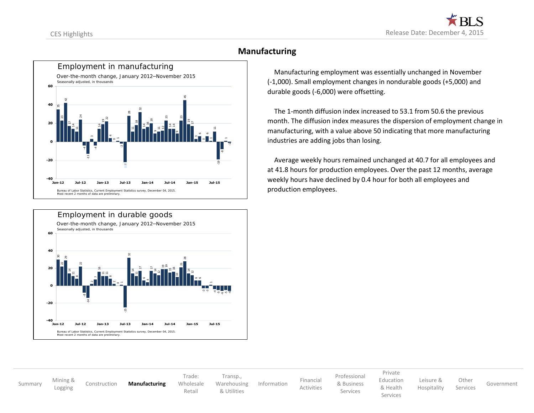<span id="page-5-0"></span>



#### **Manufacturing**

 Manufacturing employment was essentially unchanged in November (-1,000). Small employment changes in nondurable goods (+5,000) and durable goods (-6,000) were offsetting.

 The 1-month diffusion index increased to 53.1 from 50.6 the previous month. The diffusion index measures the dispersion of employment change in manufacturing, with a value above 50 indicating that more manufacturing industries are adding jobs than losing.

 Average weekly hours remained unchanged at 40.7 for all employees and at 41.8 hours for production employees. Over the past 12 months, average weekly hours have declined by 0.4 hour for both all employees and production employees.

[Summary](#page-2-0) [Mining](#page-3-0) &<br>Logging [Logging](#page-3-0) [Construction](#page-4-0) **[Manufacturing](#page-5-0)** Trade: [Wholesale](#page-6-0) [Retail](#page-7-0) [Transp.](#page-8-0), [Warehousing](#page-8-0) [& Utilities](#page-9-0) [Information](#page-10-0) [Financial](#page-11-0) [Activities](#page-11-0) [Professional](#page-12-0) [& Business](#page-12-0) Services [Private](#page-13-0) [Education](#page-13-0) [& Health](#page-13-0) Services [Leisure](#page-14-0) & [Hospitality](#page-14-0) **[Other](#page-15-0)** Services [Government](#page-16-0)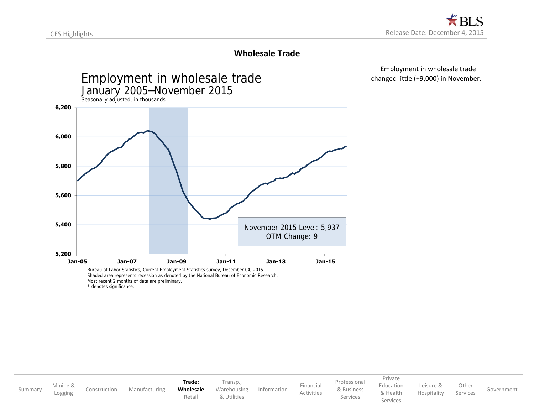### **Wholesale Trade**

<span id="page-6-0"></span>

 Employment in wholesale trade changed little (+9,000) in November.

| Summary | Mining &<br>Logging | Construction | Manufacturing | Trade:<br>Wholesale<br>Retail | Transp.,<br>Warehousing<br>& Utilities | Information | Financial<br>Activities | Professional<br>& Business<br>Services | Private<br>Education<br>& Health<br>Services | Leisure &<br>Hospitality | Other<br>Services | Government |
|---------|---------------------|--------------|---------------|-------------------------------|----------------------------------------|-------------|-------------------------|----------------------------------------|----------------------------------------------|--------------------------|-------------------|------------|
|---------|---------------------|--------------|---------------|-------------------------------|----------------------------------------|-------------|-------------------------|----------------------------------------|----------------------------------------------|--------------------------|-------------------|------------|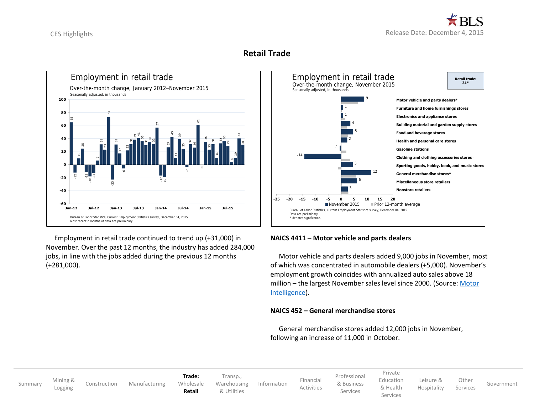## **Retail Trade**

<span id="page-7-0"></span>

 Employment in retail trade continued to trend up (+31,000) in November. Over the past 12 months, the industry has added 284,000 jobs, in line with the jobs added during the previous 12 months (+281,000).



#### **NAICS 4411 – Motor vehicle and parts dealers**

 Motor vehicle and parts dealers added 9,000 jobs in November, most of which was concentrated in automobile dealers (+5,000). November's employment growth coincides with annualized auto sales above 18 million – the largest November sales level since 2000. (Source: [Motor](http://www.motorintelligence.com/m_frameset.html)  [Intelligence\)](http://www.motorintelligence.com/m_frameset.html).

#### **NAICS 452 – General merchandise stores**

General merchandise stores added 12,000 jobs in November,

[Summary](#page-2-0) [Mining](#page-3-0) &<br>Logging

[Construction](#page-4-0) [Manufacturing](#page-5-0)

**Trade:** [Wholesale](#page-6-0) **[Retail](#page-7-0)** [Transp.](#page-8-0), [Warehousing](#page-8-0) [& Utilities](#page-9-0)

[Information](#page-10-0) [Financial](#page-11-0)

[Professional](#page-12-0) [& Business](#page-12-0) Services

[Activities](#page-11-0)

[Private](#page-13-0) [Education](#page-13-0) [& Health](#page-13-0)

Services

[Leisure](#page-14-0) & [Hospitality](#page-14-0)

Services [Government](#page-16-0)

**[Other](#page-15-0)**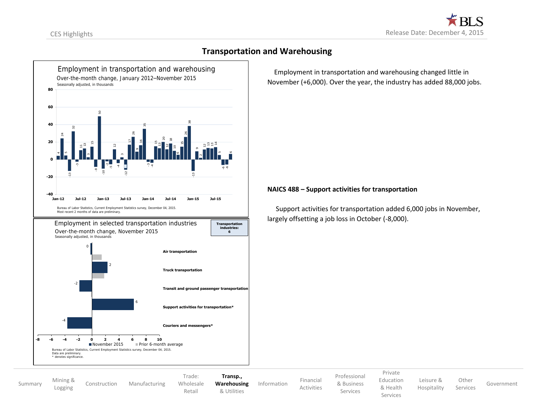<span id="page-8-0"></span>

### **Transportation and Warehousing**

 Employment in transportation and warehousing changed little in November (+6,000). Over the year, the industry has added 88,000 jobs.

#### **NAICS 488 – Support activities for transportation**

Support activities for transportation added 6,000 jobs in November, largely offsetting a job loss in October (-8,000).

[Summary](#page-2-0) [Mining](#page-3-0) &<br>Logging [Construction](#page-4-0) [Manufacturing](#page-5-0)

Trade: [Wholesale](#page-6-0) [Retail](#page-7-0)

**[Transp.,](#page-8-0) [Warehousing](#page-8-0)** [& Utilities](#page-9-0)

[Information](#page-10-0) [Financial](#page-11-0)

[Professional](#page-12-0) [& Business](#page-12-0) Services

[Private](#page-13-0) [Education](#page-13-0)

[Leisure](#page-14-0) & [Hospitality](#page-14-0)

Services [Government](#page-16-0)

[& Health](#page-13-0) Services

**[Other](#page-15-0)** 

[Activities](#page-11-0)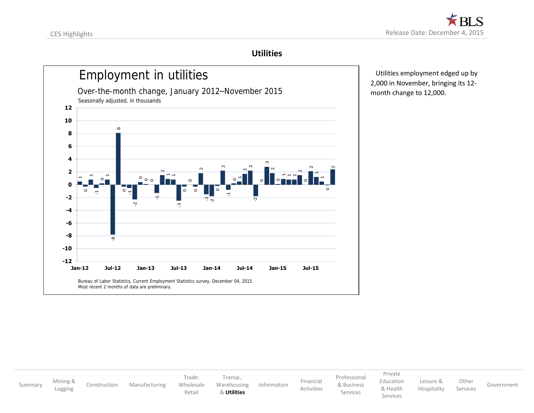#### **Utilities**

<span id="page-9-0"></span>

 Utilities employment edged up by 2,000 in November, bringing its 12 month change to 12,000.

[Summary](#page-2-0) [Mining](#page-3-0) & [Construction](#page-4-0) [Manufacturing](#page-5-0) Trade: [Wholesale](#page-6-0) [Retail](#page-7-0) [Transp.](#page-8-0), [Warehousing](#page-8-0) & **[Utilities](#page-9-0)** [Information](#page-10-0) [Financial](#page-11-0) [Activities](#page-11-0) [Professional](#page-12-0) [& Business](#page-12-0) Services [Private](#page-13-0) [Education](#page-13-0) [& Health](#page-13-0) Services [Leisure](#page-14-0) & [Hospitality](#page-14-0) [Other](#page-15-0) Services [Government](#page-16-0)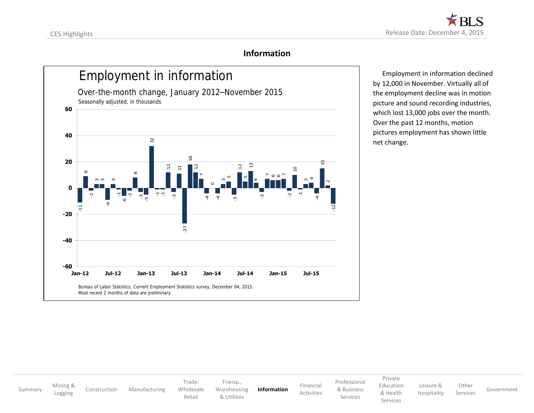### **Information**

<span id="page-10-0"></span>

 Employment in information declined by 12,000 in November. Virtually all of the employment decline was in motion picture and sound recording industries, which lost 13,000 jobs over the month. Over the past 12 months, motion pictures employment has shown little net change.

[Summary](#page-2-0) [Mining](#page-3-0) &<br>Logging [Construction](#page-4-0) [Manufacturing](#page-5-0) Trade: [Wholesale](#page-6-0) [Retail](#page-7-0) [Transp.](#page-8-0), [Warehousing](#page-8-0) [& Utilities](#page-9-0) **[Information](#page-10-0)** [Financial](#page-11-0) [Activities](#page-11-0) [Professional](#page-12-0) [& Business](#page-12-0) Services [Private](#page-13-0) [Education](#page-13-0) [& Health](#page-13-0) Services [Leisure](#page-14-0) & [Hospitality](#page-14-0) [Other](#page-15-0) Services [Government](#page-16-0)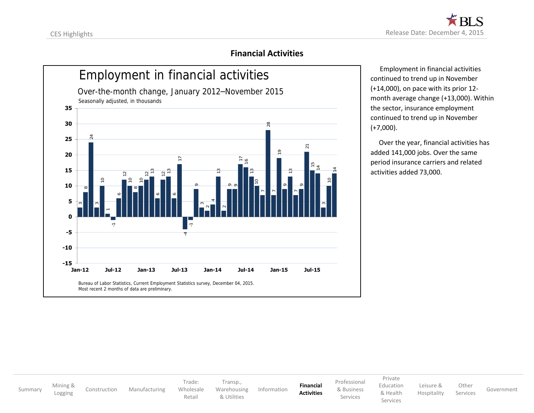### **Financial Activities**

<span id="page-11-0"></span>

 Employment in financial activities continued to trend up in November (+14,000), on pace with its prior 12 month average change (+13,000). Within the sector, insurance employment continued to trend up in November (+7,000).

 Over the year, financial activities has added 141,000 jobs. Over the same period insurance carriers and related activities added 73,000.

[Summary](#page-2-0) [Mining](#page-3-0) &<br>Logging [Construction](#page-4-0) [Manufacturing](#page-5-0) Trade: [Wholesale](#page-6-0) [Retail](#page-7-0) [Transp.](#page-8-0), [Warehousing](#page-8-0) [& Utilities](#page-9-0) [Information](#page-10-0) **[Financial](#page-11-0) [Activities](#page-11-0)** [Professional](#page-12-0) [& Business](#page-12-0) Services [Private](#page-13-0) [Education](#page-13-0) [& Health](#page-13-0) Services [Leisure](#page-14-0) & [Hospitality](#page-14-0) [Other](#page-15-0) Services [Government](#page-16-0)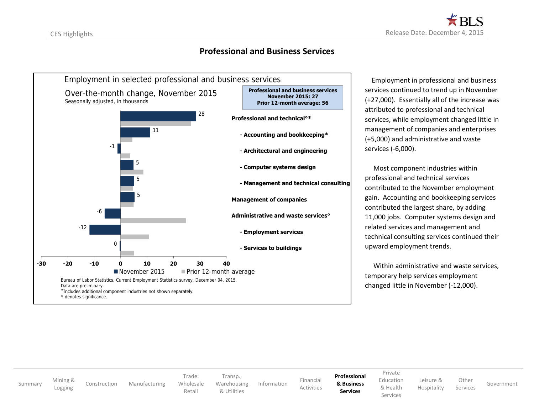#### **Professional and Business Services**

<span id="page-12-0"></span>

 Employment in professional and business services continued to trend up in November (+27,000). Essentially all of the increase was attributed to professional and technical services, while employment changed little in management of companies and enterprises (+5,000) and administrative and waste services (-6,000).

 Most component industries within professional and technical services contributed to the November employment gain. Accounting and bookkeeping services contributed the largest share, by adding 11,000 jobs. Computer systems design and related services and management and technical consulting services continued their upward employment trends.

 Within administrative and waste services, temporary help services employment changed little in November (-12,000).

[Summary](#page-2-0) [Mining](#page-3-0) &<br>Logging

[Construction](#page-4-0) [Manufacturing](#page-5-0)

Trade: [Wholesale](#page-6-0)

[Retail](#page-7-0)

[Transp.](#page-8-0), [Warehousing](#page-8-0) [& Utilities](#page-9-0)

[Information](#page-10-0) [Financial](#page-11-0) [Activities](#page-11-0) **[Professional](#page-12-0) [& Business](#page-12-0) Services**

[Private](#page-13-0) [Education](#page-13-0) [& Health](#page-13-0)

Services

[Leisure](#page-14-0) & [Hospitality](#page-14-0)

Services [Government](#page-16-0)

**[Other](#page-15-0)**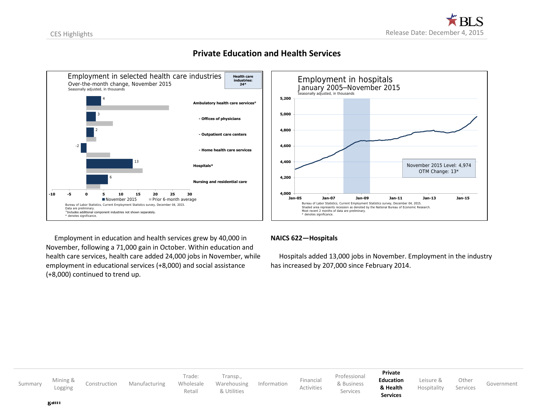<span id="page-13-0"></span>

### **Private Education and Health Services**



Employment in education and health services grew by 40,000 in November, following a 71,000 gain in October. Within education and health care services, health care added 24,000 jobs in November, while employment in educational services (+8,000) and social assistance (+8,000) continued to trend up.

#### **NAICS 622—Hospitals**

 Hospitals added 13,000 jobs in November. Employment in the industry has increased by 207,000 since February 2014.

| Summary | Mining &<br>Logging | Construction | Manufacturing | Trade:<br>Wholesale<br>Retail | Transp.,<br>Warehousing<br>& Utilities | Information | Financial<br>Activities | Professional<br>& Business<br>Services | Private<br><b>Education</b><br>& Health<br><b>Services</b> | Leisure &<br>Hospitality | Other<br>Services | Government |
|---------|---------------------|--------------|---------------|-------------------------------|----------------------------------------|-------------|-------------------------|----------------------------------------|------------------------------------------------------------|--------------------------|-------------------|------------|
|         | galli               |              |               |                               |                                        |             |                         |                                        |                                                            |                          |                   |            |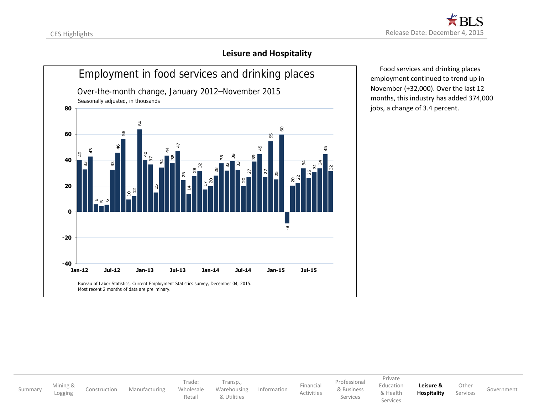### **Leisure and Hospitality**

<span id="page-14-0"></span>

 Food services and drinking places employment continued to trend up in November (+32,000). Over the last 12 months, this industry has added 374,000 jobs, a change of 3.4 percent.

[Summary](#page-2-0) [Mining](#page-3-0) & [Construction](#page-4-0) [Manufacturing](#page-5-0) Trade: [Wholesale](#page-6-0) [Retail](#page-7-0) [Transp.](#page-8-0), [Warehousing](#page-8-0) [& Utilities](#page-9-0) [Information](#page-10-0) [Financial](#page-11-0) [Activities](#page-11-0) [Professional](#page-12-0) [& Business](#page-12-0) Services [Private](#page-13-0) [Education](#page-13-0) [& Health](#page-13-0) Services **[Leisure](#page-14-0) & [Hospitality](#page-14-0)** [Other](#page-15-0) Services [Government](#page-16-0)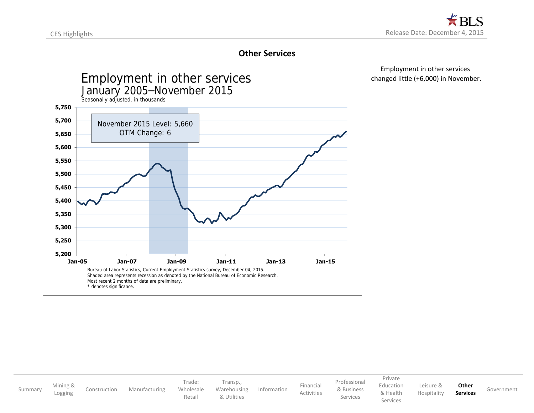#### **Other Services**

<span id="page-15-0"></span>

 Employment in other services changed little (+6,000) in November.

| Summary | Mining &<br>Logging | Construction | Manufacturing | Frade:<br>Wholesale<br>Retail | Transp.,<br>Warehousing<br>& Utilities | Information | Financial<br>Activities | Professional<br>& Business<br>Services | Private<br>Education<br>& Health<br>Services | Leisure &<br>Hospitality | Other<br><b>Services</b> | Government |
|---------|---------------------|--------------|---------------|-------------------------------|----------------------------------------|-------------|-------------------------|----------------------------------------|----------------------------------------------|--------------------------|--------------------------|------------|
|---------|---------------------|--------------|---------------|-------------------------------|----------------------------------------|-------------|-------------------------|----------------------------------------|----------------------------------------------|--------------------------|--------------------------|------------|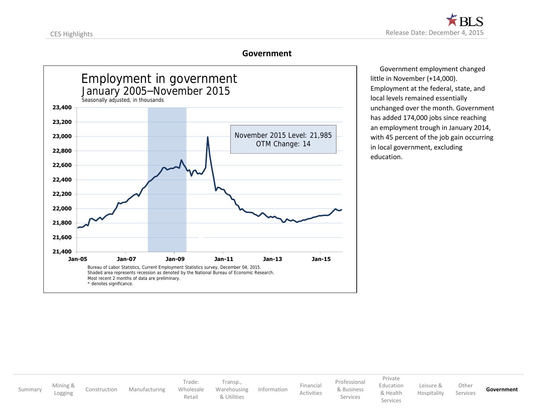#### **Government**

<span id="page-16-0"></span>

 Government employment changed little in November (+14,000). Employment at the federal, state, and local levels remained essentially unchanged over the month. Government has added 174,000 jobs since reaching an employment trough in January 2014, with 45 percent of the job gain occurring in local government, excluding education.

[Summary](#page-2-0) [Mining](#page-3-0) &<br>Logging [Construction](#page-4-0) [Manufacturing](#page-5-0) Trade: [Wholesale](#page-6-0) [Retail](#page-7-0) [Transp.](#page-8-0), [Warehousing](#page-8-0) [& Utilities](#page-9-0) [Information](#page-10-0) [Financial](#page-11-0) [Activities](#page-11-0) [Professional](#page-12-0) [& Business](#page-12-0) Services [Private](#page-13-0) [Education](#page-13-0) [& Health](#page-13-0) Services [Leisure](#page-14-0) & [Hospitality](#page-14-0) [Other](#page-15-0) Services **[Government](#page-16-0)**